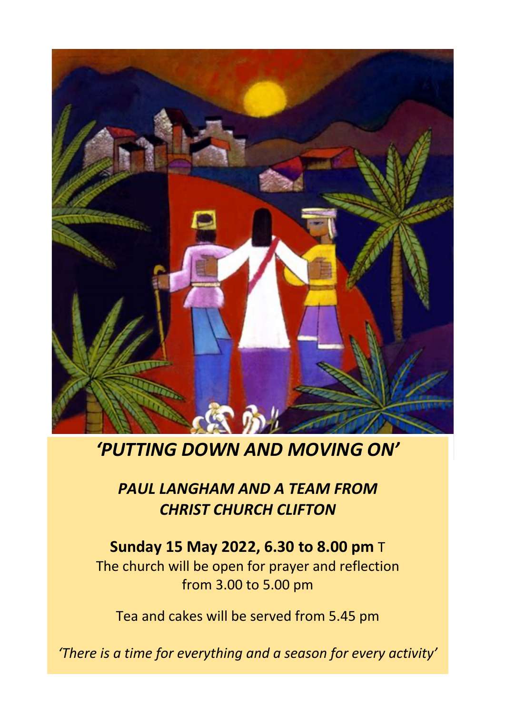

# *'PUTTING DOWN AND MOVING ON'*

#### *PAUL LANGHAM AND A TEAM FROM CHRIST CHURCH CLIFTON*

## **Sunday 15 May 2022, 6.30 to 8.00 pm** T

The church will be open for prayer and reflection from 3.00 to 5.00 pm

Tea and cakes will be served from 5.45 pm

*'There is a time for everything and a season for every activity'*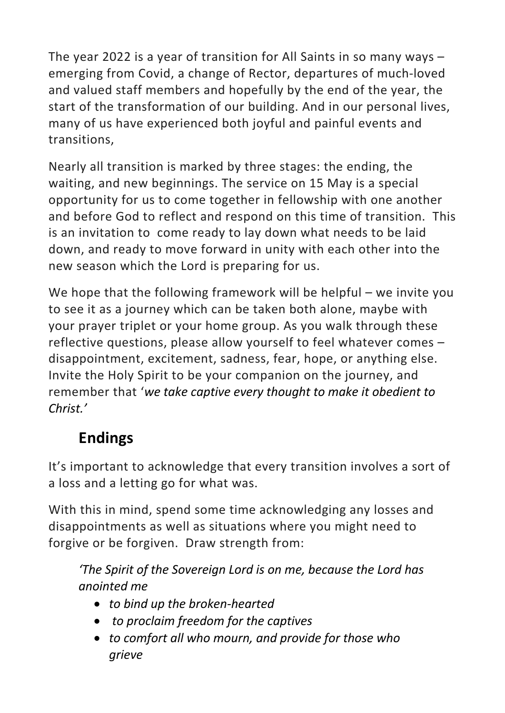The year 2022 is a year of transition for All Saints in so many ways – emerging from Covid, a change of Rector, departures of much-loved and valued staff members and hopefully by the end of the year, the start of the transformation of our building. And in our personal lives, many of us have experienced both joyful and painful events and transitions,

Nearly all transition is marked by three stages: the ending, the waiting, and new beginnings. The service on 15 May is a special opportunity for us to come together in fellowship with one another and before God to reflect and respond on this time of transition. This is an invitation to come ready to lay down what needs to be laid down, and ready to move forward in unity with each other into the new season which the Lord is preparing for us.

We hope that the following framework will be helpful – we invite you to see it as a journey which can be taken both alone, maybe with your prayer triplet or your home group. As you walk through these reflective questions, please allow yourself to feel whatever comes – disappointment, excitement, sadness, fear, hope, or anything else. Invite the Holy Spirit to be your companion on the journey, and remember that '*we take captive every thought to make it obedient to Christ.'*

### **Endings**

It's important to acknowledge that every transition involves a sort of a loss and a letting go for what was.

With this in mind, spend some time acknowledging any losses and disappointments as well as situations where you might need to forgive or be forgiven. Draw strength from:

*'The Spirit of the Sovereign Lord is on me, because the Lord has anointed me*

- *to bind up the broken-hearted*
- *to proclaim freedom for the captives*
- *to comfort all who mourn, and provide for those who grieve*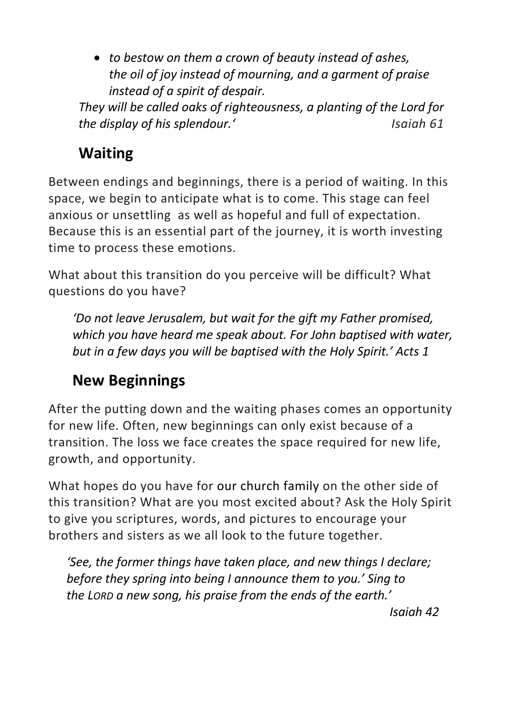• *to bestow on them a crown of beauty instead of ashes, the oil of joy instead of mourning, and a garment of praise instead of a spirit of despair.*

*They will be called oaks of righteousness, a planting of the Lord for the display of his splendour.'* Isaiah 61

## **Waiting**

Between endings and beginnings, there is a period of waiting. In this space, we begin to anticipate what is to come. This stage can feel anxious or unsettling as well as hopeful and full of expectation. Because this is an essential part of the journey, it is worth investing time to process these emotions.

What about this transition do you perceive will be difficult? What questions do you have?

*'Do not leave Jerusalem, but wait for the gift my Father promised, which you have heard me speak about. For John baptised with water, but in a few days you will be baptised with the Holy Spirit.' Acts 1*

## **New Beginnings**

After the putting down and the waiting phases comes an opportunity for new life. Often, new beginnings can only exist because of a transition. The loss we face creates the space required for new life, growth, and opportunity.

What hopes do you have for our church family on the other side of this transition? What are you most excited about? Ask the Holy Spirit to give you scriptures, words, and pictures to encourage your brothers and sisters as we all look to the future together.

*'See, the former things have taken place, and new things I declare; before they spring into being I announce them to you.' Sing to the LORD a new song, his praise from the ends of the earth.'*

*Isaiah 42*